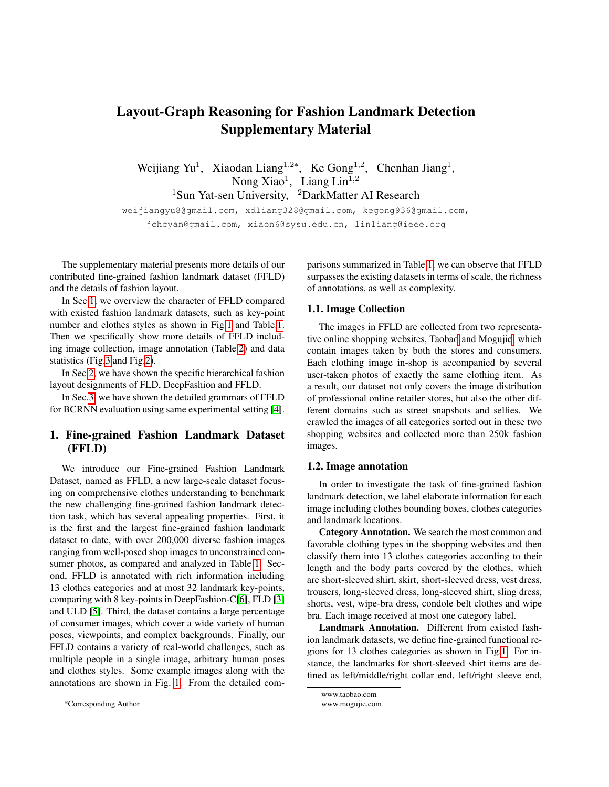# Layout-Graph Reasoning for Fashion Landmark Detection Supplementary Material

Weijiang Yu<sup>1</sup>, Xiaodan Liang<sup>1,2\*</sup>, Ke Gong<sup>1,2</sup>, Chenhan Jiang<sup>1</sup>, Nong Xiao<sup>1</sup>, Liang Lin<sup>1,2</sup> <sup>1</sup>Sun Yat-sen University, <sup>2</sup>DarkMatter AI Research

weijiangyu8@gmail.com, xdliang328@gmail.com, kegong936@gmail.com, jchcyan@gmail.com, xiaon6@sysu.edu.cn, linliang@ieee.org

The supplementary material presents more details of our contributed fine-grained fashion landmark dataset (FFLD) and the details of fashion layout.

In Sec[.1,](#page-0-0) we overview the character of FFLD compared with existed fashion landmark datasets, such as key-point number and clothes styles as shown in Fig[.1](#page-1-0) and Table[.1.](#page-1-1) Then we specifically show more details of FFLD including image collection, image annotation (Table[.2\)](#page-3-0) and data statistics (Fig[.3](#page-2-0) and Fig[.2\)](#page-2-1).

In Sec[.2,](#page-2-2) we have shown the specific hierarchical fashion layout designments of FLD, DeepFashion and FFLD.

In Sec[.3,](#page-4-0) we have shown the detailed grammars of FFLD for BCRNN evaluation using same experimental setting [\[4\]](#page-4-1).

# <span id="page-0-0"></span>1. Fine-grained Fashion Landmark Dataset (FFLD)

We introduce our Fine-grained Fashion Landmark Dataset, named as FFLD, a new large-scale dataset focusing on comprehensive clothes understanding to benchmark the new challenging fine-grained fashion landmark detection task, which has several appealing properties. First, it is the first and the largest fine-grained fashion landmark dataset to date, with over 200,000 diverse fashion images ranging from well-posed shop images to unconstrained consumer photos, as compared and analyzed in Table [1.](#page-1-1) Second, FFLD is annotated with rich information including 13 clothes categories and at most 32 landmark key-points, comparing with 8 key-points in DeepFashion-C[\[6\]](#page-4-2), FLD [\[3\]](#page-4-3) and ULD [\[5\]](#page-4-4). Third, the dataset contains a large percentage of consumer images, which cover a wide variety of human poses, viewpoints, and complex backgrounds. Finally, our FFLD contains a variety of real-world challenges, such as multiple people in a single image, arbitrary human poses and clothes styles. Some example images along with the annotations are shown in Fig. [1.](#page-1-0) From the detailed comparisons summarized in Table [1,](#page-1-1) we can observe that FFLD surpasses the existing datasets in terms of scale, the richness of annotations, as well as complexity.

### 1.1. Image Collection

The images in FFLD are collected from two representative online shopping websites, Taoba[o](#page-0-1) and Moguji[e,](#page-0-2) which contain images taken by both the stores and consumers. Each clothing image in-shop is accompanied by several user-taken photos of exactly the same clothing item. As a result, our dataset not only covers the image distribution of professional online retailer stores, but also the other different domains such as street snapshots and selfies. We crawled the images of all categories sorted out in these two shopping websites and collected more than 250k fashion images.

### 1.2. Image annotation

In order to investigate the task of fine-grained fashion landmark detection, we label elaborate information for each image including clothes bounding boxes, clothes categories and landmark locations.

Category Annotation. We search the most common and favorable clothing types in the shopping websites and then classify them into 13 clothes categories according to their length and the body parts covered by the clothes, which are short-sleeved shirt, skirt, short-sleeved dress, vest dress, trousers, long-sleeved dress, long-sleeved shirt, sling dress, shorts, vest, wipe-bra dress, condole belt clothes and wipe bra. Each image received at most one category label.

Landmark Annotation. Different from existed fashion landmark datasets, we define fine-grained functional regions for 13 clothes categories as shown in Fig[.1.](#page-1-0) For instance, the landmarks for short-sleeved shirt items are defined as left/middle/right collar end, left/right sleeve end,

<span id="page-0-2"></span><span id="page-0-1"></span>www.taobao.com www.mogujie.com

<sup>\*</sup>Corresponding Author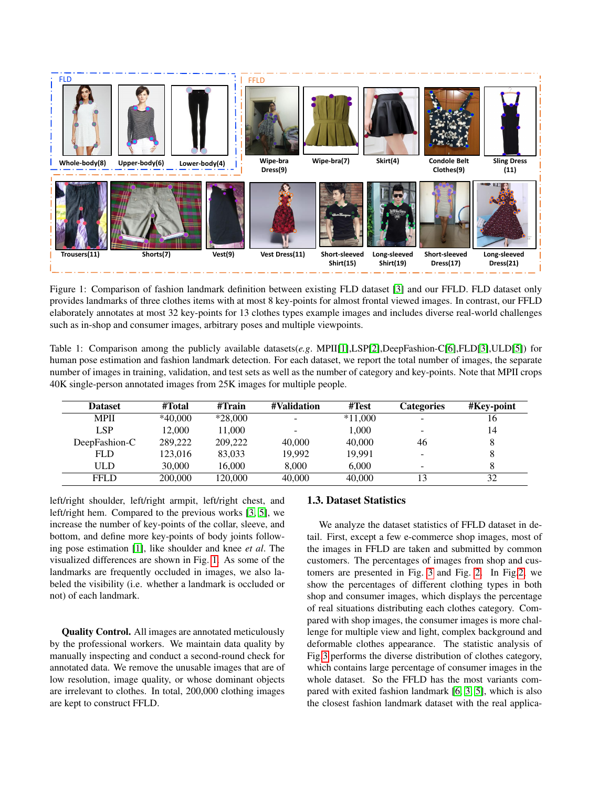<span id="page-1-0"></span>

Figure 1: Comparison of fashion landmark definition between existing FLD dataset [\[3\]](#page-4-3) and our FFLD. FLD dataset only provides landmarks of three clothes items with at most 8 key-points for almost frontal viewed images. In contrast, our FFLD elaborately annotates at most 32 key-points for 13 clothes types example images and includes diverse real-world challenges such as in-shop and consumer images, arbitrary poses and multiple viewpoints.

<span id="page-1-1"></span>Table 1: Comparison among the publicly available datasets(*e.g*. MPII[\[1\]](#page-4-5),LSP[\[2\]](#page-4-6),DeepFashion-C[\[6\]](#page-4-2),FLD[\[3\]](#page-4-3),ULD[\[5\]](#page-4-4)) for human pose estimation and fashion landmark detection. For each dataset, we report the total number of images, the separate number of images in training, validation, and test sets as well as the number of category and key-points. Note that MPII crops 40K single-person annotated images from 25K images for multiple people.

| <b>Dataset</b> | #Total    | #Train    | #Validation | #Test     | Categories               | #Key-point |
|----------------|-----------|-----------|-------------|-----------|--------------------------|------------|
| <b>MPII</b>    | $*40,000$ | $*28,000$ | -           | $*11,000$ |                          | 16         |
| <b>LSP</b>     | 12,000    | 11,000    | -           | 1.000     | ۰                        | 14         |
| DeepFashion-C  | 289,222   | 209,222   | 40,000      | 40,000    | 46                       |            |
| <b>FLD</b>     | 123.016   | 83,033    | 19.992      | 19.991    | $\overline{\phantom{0}}$ |            |
| ULD            | 30,000    | 16,000    | 8,000       | 6.000     | -                        |            |
| <b>FFLD</b>    | 200,000   | 120,000   | 40,000      | 40,000    | 13                       | 32         |

left/right shoulder, left/right armpit, left/right chest, and left/right hem. Compared to the previous works [\[3,](#page-4-3) [5\]](#page-4-4), we increase the number of key-points of the collar, sleeve, and bottom, and define more key-points of body joints following pose estimation [\[1\]](#page-4-5), like shoulder and knee *et al*. The visualized differences are shown in Fig. [1.](#page-1-0) As some of the landmarks are frequently occluded in images, we also labeled the visibility (i.e. whether a landmark is occluded or not) of each landmark.

Quality Control. All images are annotated meticulously by the professional workers. We maintain data quality by manually inspecting and conduct a second-round check for annotated data. We remove the unusable images that are of low resolution, image quality, or whose dominant objects are irrelevant to clothes. In total, 200,000 clothing images are kept to construct FFLD.

### 1.3. Dataset Statistics

We analyze the dataset statistics of FFLD dataset in detail. First, except a few e-commerce shop images, most of the images in FFLD are taken and submitted by common customers. The percentages of images from shop and customers are presented in Fig. [3](#page-2-0) and Fig. [2.](#page-2-1) In Fig[.2,](#page-2-1) we show the percentages of different clothing types in both shop and consumer images, which displays the percentage of real situations distributing each clothes category. Compared with shop images, the consumer images is more challenge for multiple view and light, complex background and deformable clothes appearance. The statistic analysis of Fig[.3](#page-2-0) performs the diverse distribution of clothes category, which contains large percentage of consumer images in the whole dataset. So the FFLD has the most variants compared with exited fashion landmark [\[6,](#page-4-2) [3,](#page-4-3) [5\]](#page-4-4), which is also the closest fashion landmark dataset with the real applica-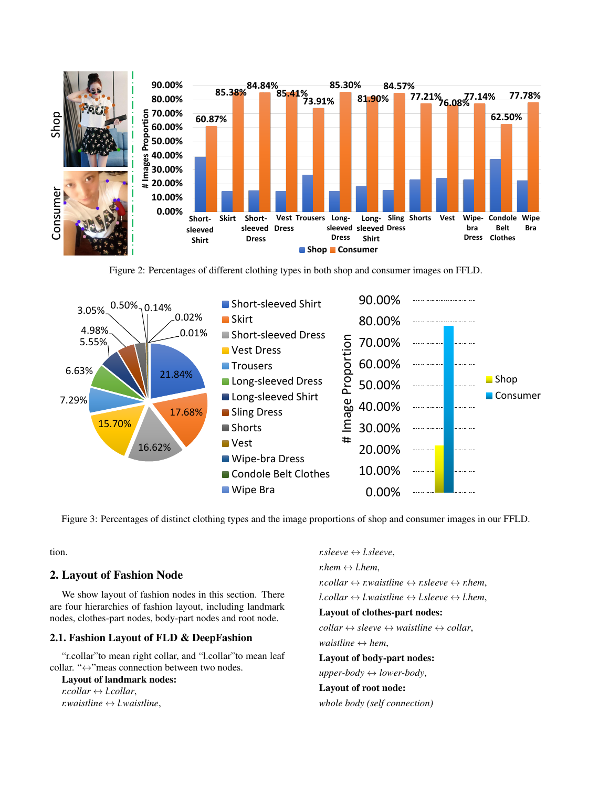<span id="page-2-1"></span>

Figure 2: Percentages of different clothing types in both shop and consumer images on FFLD.

<span id="page-2-0"></span>

Figure 3: Percentages of distinct clothing types and the image proportions of shop and consumer images in our FFLD.

tion.

# <span id="page-2-2"></span>2. Layout of Fashion Node

We show layout of fashion nodes in this section. There are four hierarchies of fashion layout, including landmark nodes, clothes-part nodes, body-part nodes and root node.

### 2.1. Fashion Layout of FLD & DeepFashion

"r.collar"to mean right collar, and "l.collar"to mean leaf collar. "↔"meas connection between two nodes.

Layout of landmark nodes:

 $r.collar \leftrightarrow l.collar$ , *r.waistline*  $\leftrightarrow$  *l.waistline*,  $r.sleepve \leftrightarrow l.sleepve$ , *r.hem*  $\leftrightarrow$  *l.hem*, *r.collar*  $\leftrightarrow$  *r.waistline*  $\leftrightarrow$  *r.sleeve*  $\leftrightarrow$  *r.hem.*  $l.collar \leftrightarrow l.waistline \leftrightarrow l.sleepve \leftrightarrow l.hem,$ Layout of clothes-part nodes:  $collar \leftrightarrow sleeve \leftrightarrow waisline \leftrightarrow collar,$ *waistline*  $\leftrightarrow$  *hem*, Layout of body-part nodes:  $upper-body \leftrightarrow lower-body,$ Layout of root node: *whole body (self connection)*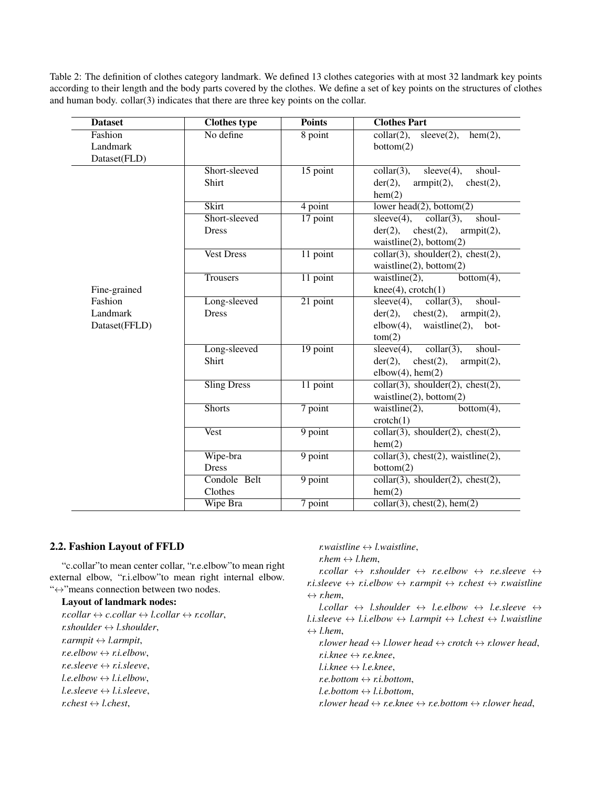<span id="page-3-0"></span>Table 2: The definition of clothes category landmark. We defined 13 clothes categories with at most 32 landmark key points according to their length and the body parts covered by the clothes. We define a set of key points on the structures of clothes and human body. collar(3) indicates that there are three key points on the collar.

| <b>Dataset</b> | <b>Clothes type</b> | <b>Points</b>         | <b>Clothes Part</b>                                        |
|----------------|---------------------|-----------------------|------------------------------------------------------------|
| Fashion        | No define           | 8 point               | $\text{collar}(2)$ ,<br>$sleeve(2)$ ,<br>$hem(2)$ ,        |
| Landmark       |                     |                       | bottom(2)                                                  |
| Dataset(FLD)   |                     |                       |                                                            |
|                | Short-sleeved       | 15 point              | shoul-<br>$collar(3)$ ,<br>sleeve(4),                      |
|                | Shirt               |                       | $der(2)$ ,<br>$check(2)$ ,<br>armpit(2),                   |
|                |                     |                       | hem(2)                                                     |
|                | <b>Skirt</b>        | 4 point               | lower head(2), bottom(2)                                   |
|                | Short-sleeved       | 17 point              | $\overline{\text{collar}(3)}$ ,<br>shoul-<br>$sleeve(4)$ , |
|                | <b>Dress</b>        |                       | $check(2)$ ,<br>armpit(2),<br>$der(2)$ ,                   |
|                |                     |                       | waistline $(2)$ , bottom $(2)$                             |
|                | <b>Vest Dress</b>   | 11 point              | $collar(3)$ , shoulder(2), chest(2),                       |
|                |                     |                       | waistline(2), bottom(2)                                    |
|                | Trousers            | 11 point              | waistline $(2)$ ,<br>bottom(4),                            |
| Fine-grained   |                     |                       | $knee(4)$ , $cratch(1)$                                    |
| Fashion        | Long-sleeved        | $\overline{21}$ point | collar(3),<br>$sleeve(4)$ ,<br>shoul-                      |
| Landmark       | <b>Dress</b>        |                       | $der(2)$ , chest $(2)$ ,<br>armpit(2),                     |
| Dataset(FFLD)  |                     |                       | $elbow(4)$ , waistline(2),<br>bot-                         |
|                |                     |                       | tom(2)                                                     |
|                | Long-sleeved        | 19 point              | $\overline{\text{collar}(3)}$ ,<br>shoul-<br>sleeve(4),    |
|                | Shirt               |                       | $der(2)$ ,<br>$check(2)$ ,<br>armpit(2),                   |
|                |                     |                       | $elbow(4)$ , hem $(2)$                                     |
|                | <b>Sling Dress</b>  | $11$ point            | $collar(3)$ , shoulder(2), chest(2),                       |
|                |                     |                       | waistline(2), bottom(2)                                    |
|                | <b>Shorts</b>       | $7$ point             | waistline $(2)$ ,<br>$bottom(4)$ ,                         |
|                |                     |                       | crotch(1)                                                  |
|                | <b>Vest</b>         | 9 point               | $collar(3)$ , shoulder(2), chest(2),                       |
|                |                     |                       | hem(2)                                                     |
|                | Wipe-bra            | $9$ point             | $collar(3)$ , chest $(2)$ , waistline $(2)$ ,              |
|                | <b>Dress</b>        |                       | bottom(2)                                                  |
|                | Condole Belt        | $9$ point             | $collar(3)$ , shoulder(2), chest(2),                       |
|                | Clothes             |                       | hem(2)                                                     |
|                | Wipe Bra            | 7 point               | $\text{collar}(\overline{3})$ , chest(2), hem(2)           |

# 2.2. Fashion Layout of FFLD

"c.collar"to mean center collar, "r.e.elbow"to mean right external elbow, "r.i.elbow"to mean right internal elbow. "↔"means connection between two nodes.

### Layout of landmark nodes:

 $r.collar \leftrightarrow c.collar \leftrightarrow l.collar \leftrightarrow r.collar$ ,  $r.showlder \leftrightarrow l.showlder$ ,  $r.$ *armpit* $\leftrightarrow$ *l.armpit*, *r.e.elbow*  $\leftrightarrow$  *r.i.elbow*,  $r.e. sleeve \leftrightarrow r.i. sleeve,$  $l.e. elbow \leftrightarrow l.i. elbow,$  $l.e. sleeve \leftrightarrow l.i. sleeve.$  $r.e.$ *r.chest*  $\leftrightarrow$  *l.chest.* 

### $r.$ *waistline*  $\leftrightarrow$  *l.waistline*,

*r.hem*  $\leftrightarrow$  *l.hem.* 

 $r_{\text{c}}$ *r.collar*  $\leftrightarrow$  *r.shoulder*  $\leftrightarrow$  *r.e.elbow*  $\leftrightarrow$  *r.e.sleeve*  $\leftrightarrow$ *r.i.sleeve*  $\leftrightarrow$  *r.i.elbow*  $\leftrightarrow$  *r.armpit*  $\leftrightarrow$  *r.chest*  $\leftrightarrow$  *r.waistline*  $\leftrightarrow$  *r.hem*,

 $l.collar \leftrightarrow l.shoulder \leftrightarrow l.e. elbow \leftrightarrow l.e. skew \leftrightarrow$ *l.i.sleeve*  $\leftrightarrow$  *l.i.elbow*  $\leftrightarrow$  *l.armpit*  $\leftrightarrow$  *l.chest*  $\leftrightarrow$  *l.waistline*  $\leftrightarrow$  *l.hem.* 

*r.lower head*  $\leftrightarrow$  *l.lower head*  $\leftrightarrow$  *crotch*  $\leftrightarrow$  *r.lower head.*  $r_i$ *knee* $\leftrightarrow$ *r.e.knee*,

 $l.i.knee \leftrightarrow l.e.knee.$ 

*r.e.bottom*  $\leftrightarrow$  *r.i.bottom*,

 $l.e. bottom \leftrightarrow l.i. bottom.$ 

*r.lower head*  $\leftrightarrow$  *r.e.knee*  $\leftrightarrow$  *r.e.bottom*  $\leftrightarrow$  *r.lower head,*